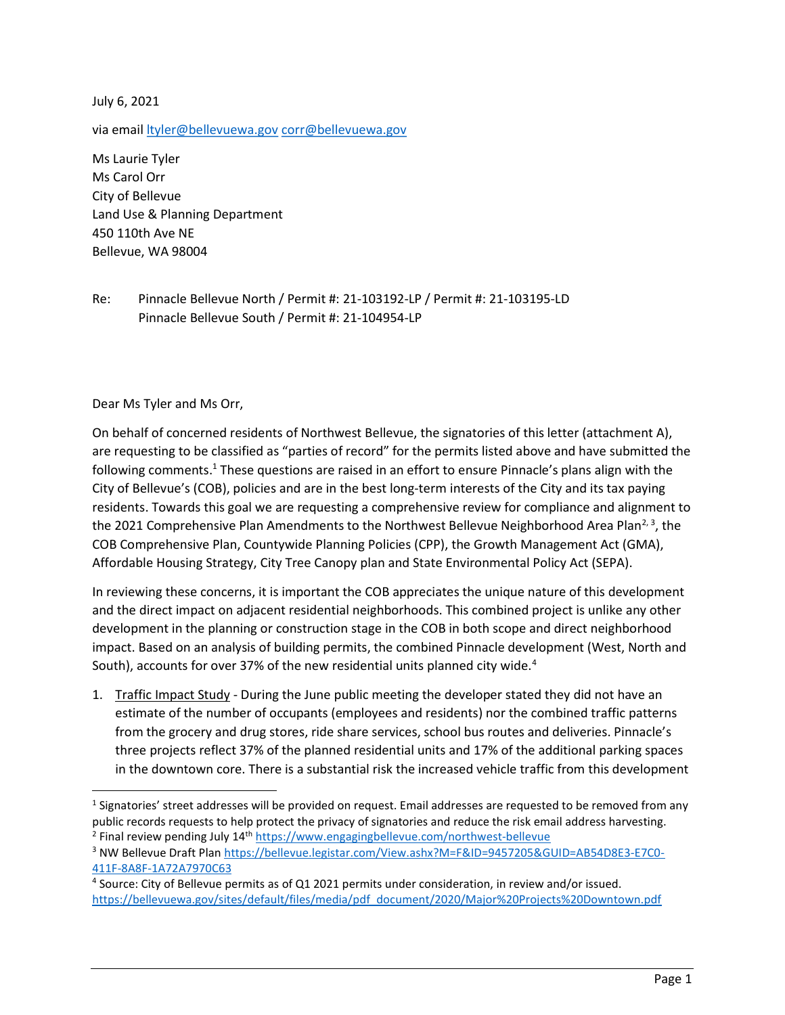July 6, 2021

via email *ltyler@bellevuewa.gov corr@bellevuewa.gov* 

Ms Laurie Tyler Ms Carol Orr City of Bellevue Land Use & Planning Department 450 110th Ave NE Bellevue, WA 98004

Re: Pinnacle Bellevue North / Permit #: 21-103192-LP / Permit #: 21-103195-LD Pinnacle Bellevue South / Permit #: 21-104954-LP

## Dear Ms Tyler and Ms Orr,

On behalf of concerned residents of Northwest Bellevue, the signatories of this letter (attachment A), are requesting to be classified as "parties of record" for the permits listed above and have submitted the following comments.<sup>1</sup> These questions are raised in an effort to ensure Pinnacle's plans align with the City of Bellevue's (COB), policies and are in the best long-term interests of the City and its tax paying residents. Towards this goal we are requesting a comprehensive review for compliance and alignment to the 2021 Comprehensive Plan Amendments to the Northwest Bellevue Neighborhood Area Plan<sup>2, 3</sup>, the COB Comprehensive Plan, Countywide Planning Policies (CPP), the Growth Management Act (GMA), Affordable Housing Strategy, City Tree Canopy plan and State Environmental Policy Act (SEPA).

In reviewing these concerns, it is important the COB appreciates the unique nature of this development and the direct impact on adjacent residential neighborhoods. This combined project is unlike any other development in the planning or construction stage in the COB in both scope and direct neighborhood impact. Based on an analysis of building permits, the combined Pinnacle development (West, North and South), accounts for over 37% of the new residential units planned city wide.<sup>4</sup>

1. Traffic Impact Study - During the June public meeting the developer stated they did not have an estimate of the number of occupants (employees and residents) nor the combined traffic patterns from the grocery and drug stores, ride share services, school bus routes and deliveries. Pinnacle's three projects reflect 37% of the planned residential units and 17% of the additional parking spaces in the downtown core. There is a substantial risk the increased vehicle traffic from this development

<sup>&</sup>lt;sup>1</sup> Signatories' street addresses will be provided on request. Email addresses are requested to be removed from any public records requests to help protect the privacy of signatories and reduce the risk email address harvesting. <sup>2</sup> Final review pending July 14<sup>th</sup> https://www.engagingbellevue.com/northwest-bellevue

<sup>&</sup>lt;sup>3</sup> NW Bellevue Draft Plan https://bellevue.legistar.com/View.ashx?M=F&ID=9457205&GUID=AB54D8E3-E7C0-411F-8A8F-1A72A7970C63

<sup>4</sup> Source: City of Bellevue permits as of Q1 2021 permits under consideration, in review and/or issued. https://bellevuewa.gov/sites/default/files/media/pdf\_document/2020/Major%20Projects%20Downtown.pdf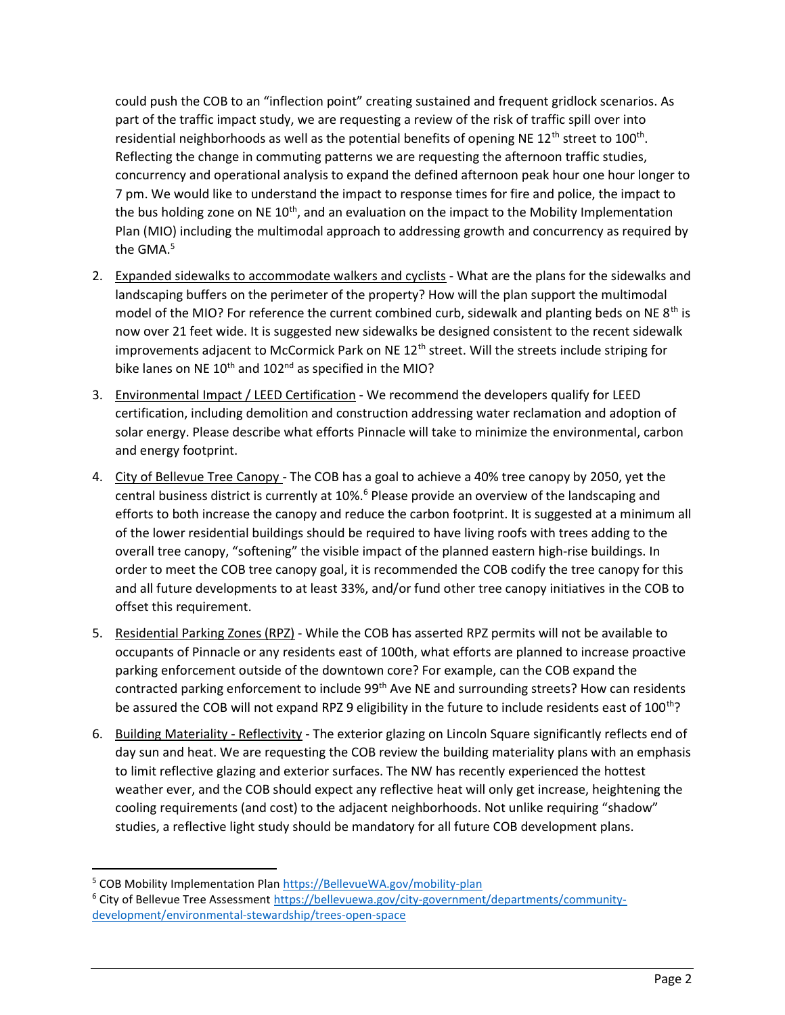could push the COB to an "inflection point" creating sustained and frequent gridlock scenarios. As part of the traffic impact study, we are requesting a review of the risk of traffic spill over into residential neighborhoods as well as the potential benefits of opening NE 12<sup>th</sup> street to 100<sup>th</sup>. Reflecting the change in commuting patterns we are requesting the afternoon traffic studies, concurrency and operational analysis to expand the defined afternoon peak hour one hour longer to 7 pm. We would like to understand the impact to response times for fire and police, the impact to the bus holding zone on NE 10<sup>th</sup>, and an evaluation on the impact to the Mobility Implementation Plan (MIO) including the multimodal approach to addressing growth and concurrency as required by the GMA.<sup>5</sup>

- 2. Expanded sidewalks to accommodate walkers and cyclists What are the plans for the sidewalks and landscaping buffers on the perimeter of the property? How will the plan support the multimodal model of the MIO? For reference the current combined curb, sidewalk and planting beds on NE  $8<sup>th</sup>$  is now over 21 feet wide. It is suggested new sidewalks be designed consistent to the recent sidewalk improvements adjacent to McCormick Park on NE 12<sup>th</sup> street. Will the streets include striping for bike lanes on NE  $10^{th}$  and  $102^{nd}$  as specified in the MIO?
- 3. Environmental Impact / LEED Certification We recommend the developers qualify for LEED certification, including demolition and construction addressing water reclamation and adoption of solar energy. Please describe what efforts Pinnacle will take to minimize the environmental, carbon and energy footprint.
- 4. City of Bellevue Tree Canopy The COB has a goal to achieve a 40% tree canopy by 2050, yet the central business district is currently at 10%.<sup>6</sup> Please provide an overview of the landscaping and efforts to both increase the canopy and reduce the carbon footprint. It is suggested at a minimum all of the lower residential buildings should be required to have living roofs with trees adding to the overall tree canopy, "softening" the visible impact of the planned eastern high-rise buildings. In order to meet the COB tree canopy goal, it is recommended the COB codify the tree canopy for this and all future developments to at least 33%, and/or fund other tree canopy initiatives in the COB to offset this requirement.
- 5. Residential Parking Zones (RPZ) While the COB has asserted RPZ permits will not be available to occupants of Pinnacle or any residents east of 100th, what efforts are planned to increase proactive parking enforcement outside of the downtown core? For example, can the COB expand the contracted parking enforcement to include 99<sup>th</sup> Ave NE and surrounding streets? How can residents be assured the COB will not expand RPZ 9 eligibility in the future to include residents east of 100<sup>th</sup>?
- 6. Building Materiality Reflectivity The exterior glazing on Lincoln Square significantly reflects end of day sun and heat. We are requesting the COB review the building materiality plans with an emphasis to limit reflective glazing and exterior surfaces. The NW has recently experienced the hottest weather ever, and the COB should expect any reflective heat will only get increase, heightening the cooling requirements (and cost) to the adjacent neighborhoods. Not unlike requiring "shadow" studies, a reflective light study should be mandatory for all future COB development plans.

<sup>&</sup>lt;sup>5</sup> COB Mobility Implementation Plan https://BellevueWA.gov/mobility-plan

<sup>&</sup>lt;sup>6</sup> City of Bellevue Tree Assessment https://bellevuewa.gov/city-government/departments/communitydevelopment/environmental-stewardship/trees-open-space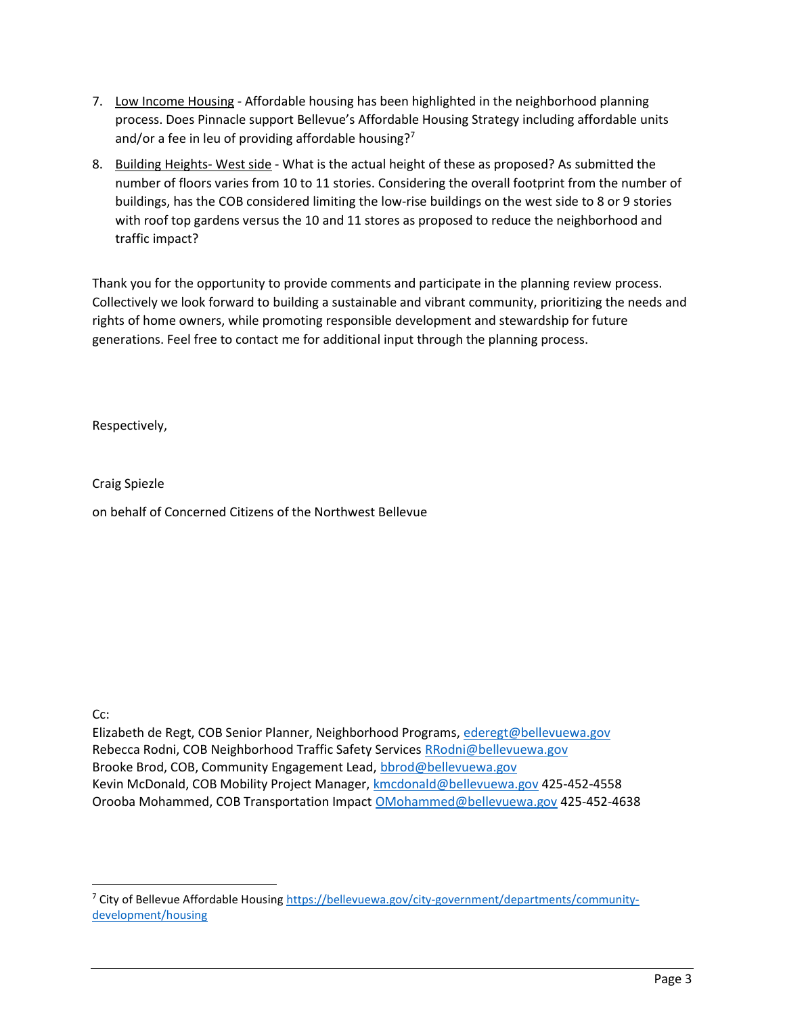- 7. Low Income Housing Affordable housing has been highlighted in the neighborhood planning process. Does Pinnacle support Bellevue's Affordable Housing Strategy including affordable units and/or a fee in leu of providing affordable housing?<sup>7</sup>
- 8. Building Heights- West side What is the actual height of these as proposed? As submitted the number of floors varies from 10 to 11 stories. Considering the overall footprint from the number of buildings, has the COB considered limiting the low-rise buildings on the west side to 8 or 9 stories with roof top gardens versus the 10 and 11 stores as proposed to reduce the neighborhood and traffic impact?

Thank you for the opportunity to provide comments and participate in the planning review process. Collectively we look forward to building a sustainable and vibrant community, prioritizing the needs and rights of home owners, while promoting responsible development and stewardship for future generations. Feel free to contact me for additional input through the planning process.

Respectively,

Craig Spiezle

on behalf of Concerned Citizens of the Northwest Bellevue

Cc:

Elizabeth de Regt, COB Senior Planner, Neighborhood Programs, ederegt@bellevuewa.gov Rebecca Rodni, COB Neighborhood Traffic Safety Services RRodni@bellevuewa.gov Brooke Brod, COB, Community Engagement Lead, bbrod@bellevuewa.gov Kevin McDonald, COB Mobility Project Manager, kmcdonald@bellevuewa.gov 425-452-4558 Orooba Mohammed, COB Transportation Impact OMohammed@bellevuewa.gov 425-452-4638

<sup>&</sup>lt;sup>7</sup> City of Bellevue Affordable Housing https://bellevuewa.gov/city-government/departments/communitydevelopment/housing